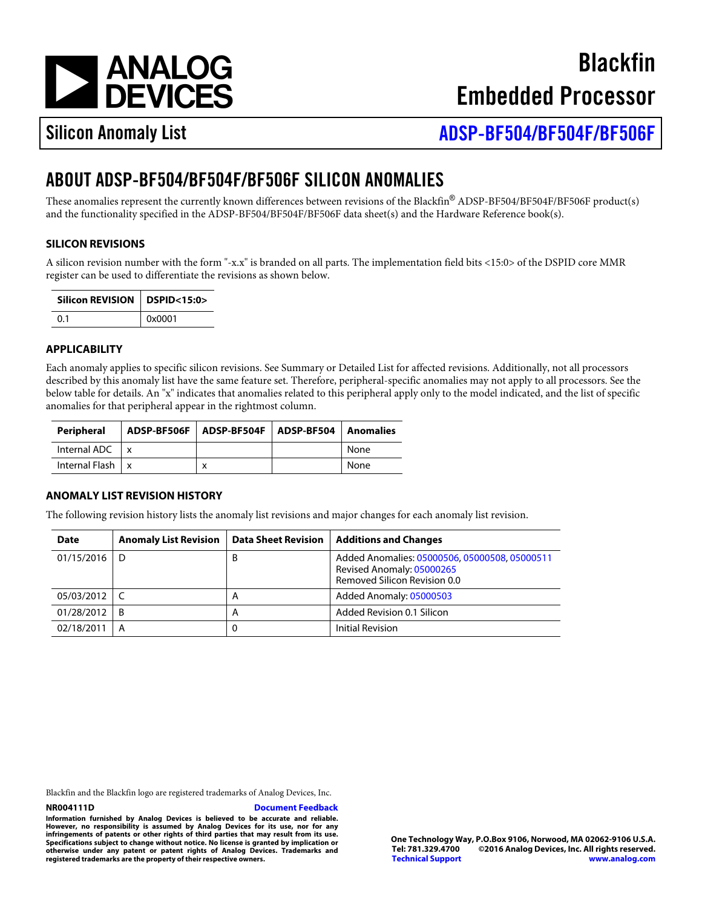[a](http://www.analog.com)

**Blackfin** Embedded Processor

## Silicon Anomaly List

[ADSP-BF5](http://www.analog.com/ADSP-BF504)0 4504 BF506

# ABOUT ADSP-BF504/BF504F/BF506F SILICON ANOMALIES

These anomalies represent the currently known differences between revisions of the Blackfin®ADSP-BF504/BF504F/BF506F product(s) and the functionality specified in the ADSP-BF504/BF504F/BF506F data sheet(s) and the Hardware Reference book(s).

## SILICON REVISIONS

A silicon revision number with the form "-x.x" is branded on all parts. The implementation field bits <15:0> of the DSPID core MMR register can be used to differentiate the revisions as shown below.

| Silicon REVISION DSPID<15:0> |                |
|------------------------------|----------------|
| (1.1)                        | $\vert$ 0x0001 |

## APPLICABILITY

Each anomaly applies to specific silicon revisions. See Summary or Detailed List for affected revisions. Additionally, not all processors described by this anomaly list have the same feature set. Therefore, peripheral-specific anomalies may not apply to all processors. See t below table for details. An "x" indicates that anomalies related to this peripheral apply only to the model indicated, and the list of specific anomalies for that peripheral appear in the rightmost column.

| Peripheral                   | ADSP-BF506F ADSP-BF504F ADSP-BF504 Anomalies |      |
|------------------------------|----------------------------------------------|------|
| Internal ADC $\vert x \vert$ |                                              | None |
| Internal Flash x             |                                              | None |

## ANOMALY LIST REVISION HISTORY

The following revision history lists the anomaly list revisions and major changes for each anomaly list revision.

| Date           | Anomaly List Revision |   | Data Sheet Revision   Additions and Changes                                                        |
|----------------|-----------------------|---|----------------------------------------------------------------------------------------------------|
| 01/15/2016     | D                     | B | Added Anomalies050005060500050805000511<br>Revised Anomaly05000265<br>Removed Silicon Revision 0.0 |
| 05/03/2012   C |                       | A | Added Anomaly 05000503                                                                             |
| 01/28/2012     | - B                   | A | Added Revision 0.1 Silicon                                                                         |
| 02/18/2011     | A                     | 0 | <b>Initial Revision</b>                                                                            |

Blackfin and the Blackfin logo are registered trademarks of Analog Devices, Inc.

#### [Document Feedback](https://form.analog.com/Form_Pages/feedback/documentfeedback.aspx?doc=ADSP-BF504_BF504F_BF506F_anomaly_list.pdf&product=ADSP-BF504%20ADSP-BF504F%20ADSP-BF506F&rev=D)

Information furnished by Analog Devices is believed to be accurate and reliable. However, no responsibility is assumed by Analog Devices for its use, nor for any infringements of patents or other rights of third parties that may result from its use. Specifications subject to change without notice. No license is granted by implication or otherwise under any patent or patent rights of Analog Devices. Trademarks and registered trademarks are the property of their respective owners.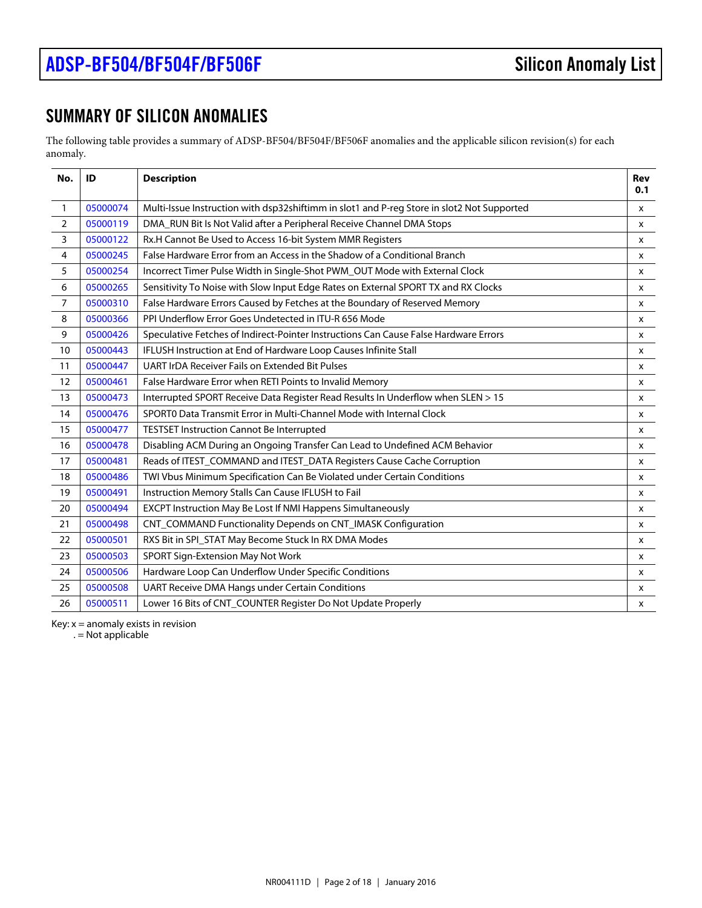## SUMMARY OF SILICON ANOMALIES

The following table provides a summary of ADSP-BF504/BF504F/BF506F anomalies and the applicable silicon revision(s) for each anomaly.

<span id="page-1-12"></span><span id="page-1-11"></span><span id="page-1-10"></span><span id="page-1-9"></span><span id="page-1-8"></span><span id="page-1-7"></span><span id="page-1-6"></span><span id="page-1-5"></span><span id="page-1-4"></span><span id="page-1-3"></span><span id="page-1-2"></span><span id="page-1-1"></span><span id="page-1-0"></span>

| No.            | ID       | Description                                                                                | Rev<br>0.1   |
|----------------|----------|--------------------------------------------------------------------------------------------|--------------|
| $\mathbf{1}$   | 05000074 | Multi-Issue Instruction with dsp32shiftimm in slot1 and P-reg Store in slot2 Not Supported | <b>X</b>     |
| $\overline{c}$ | 05000119 | DMA_RUN Bit Is Not Valid after a Peripheral Receive Channel DMA Stops                      | <b>X</b>     |
| 3              | 05000122 | Rx.H Cannot Be Used to Access 16-bit System MMR Registers                                  | X            |
| $\overline{4}$ | 05000245 | False Hardware Error from an Access in the Shadow of a Conditional Branch                  | x            |
| 5              | 05000254 | Incorrect Timer Pulse Width in Single-Shot PWM_OUT Mode with External Clock                | X            |
| 6              | 05000265 | Sensitivity To Noise with Slow Input Edge Rates on External SPORT TX and RX Clocks         | X            |
| $\overline{7}$ | 05000310 | False Hardware Errors Caused by Fetches at the Boundary of Reserved Memory                 | $\mathsf{x}$ |
| 8              | 05000366 | PPI Underflow Error Goes Undetected in ITU-R 656 Mode                                      | X            |
| 9              | 05000426 | Speculative Fetches of Indirect-Pointer Instructions Can Cause False Hardware Errors       | X            |
| 10             | 05000443 | IFLUSH Instruction at End of Hardware Loop Causes Infinite Stall                           | <b>X</b>     |
| 11             | 05000447 | <b>UART IrDA Receiver Fails on Extended Bit Pulses</b>                                     | X            |
| 12             | 05000461 | False Hardware Error when RETI Points to Invalid Memory                                    | X            |
| 13             | 05000473 | Interrupted SPORT Receive Data Register Read Results In Underflow when SLEN > 15           | X            |
| 14             | 05000476 | SPORT0 Data Transmit Error in Multi-Channel Mode with Internal Clock                       | $\mathsf{x}$ |
| 15             | 05000477 | <b>TESTSET Instruction Cannot Be Interrupted</b>                                           | X            |
| 16             | 05000478 | Disabling ACM During an Ongoing Transfer Can Lead to Undefined ACM Behavior                | X            |
| 17             | 05000481 | Reads of ITEST_COMMAND and ITEST_DATA Registers Cause Cache Corruption                     | X            |
| 18             | 05000486 | TWI Vbus Minimum Specification Can Be Violated under Certain Conditions                    | X            |
| 19             | 05000491 | Instruction Memory Stalls Can Cause IFLUSH to Fail                                         | $\mathsf{x}$ |
| 20             | 05000494 | EXCPT Instruction May Be Lost If NMI Happens Simultaneously                                | X            |
| 21             | 05000498 | CNT_COMMAND Functionality Depends on CNT_IMASK Configuration                               | X            |
| 22             | 05000501 | RXS Bit in SPI_STAT May Become Stuck In RX DMA Modes                                       | $\mathsf{x}$ |
| 23             | 05000503 | SPORT Sign-Extension May Not Work                                                          | x            |
| 24             | 05000506 | Hardware Loop Can Underflow Under Specific Conditions                                      | x            |
| 25             | 05000508 | UART Receive DMA Hangs under Certain Conditions                                            | x            |
| 26             | 05000511 | Lower 16 Bits of CNT_COUNTER Register Do Not Update Properly                               | x            |

<span id="page-1-25"></span><span id="page-1-24"></span><span id="page-1-23"></span><span id="page-1-22"></span><span id="page-1-21"></span><span id="page-1-20"></span><span id="page-1-19"></span><span id="page-1-18"></span><span id="page-1-17"></span><span id="page-1-16"></span><span id="page-1-15"></span><span id="page-1-14"></span><span id="page-1-13"></span>Key:  $x =$  anomaly exists in revision

. = Not applicable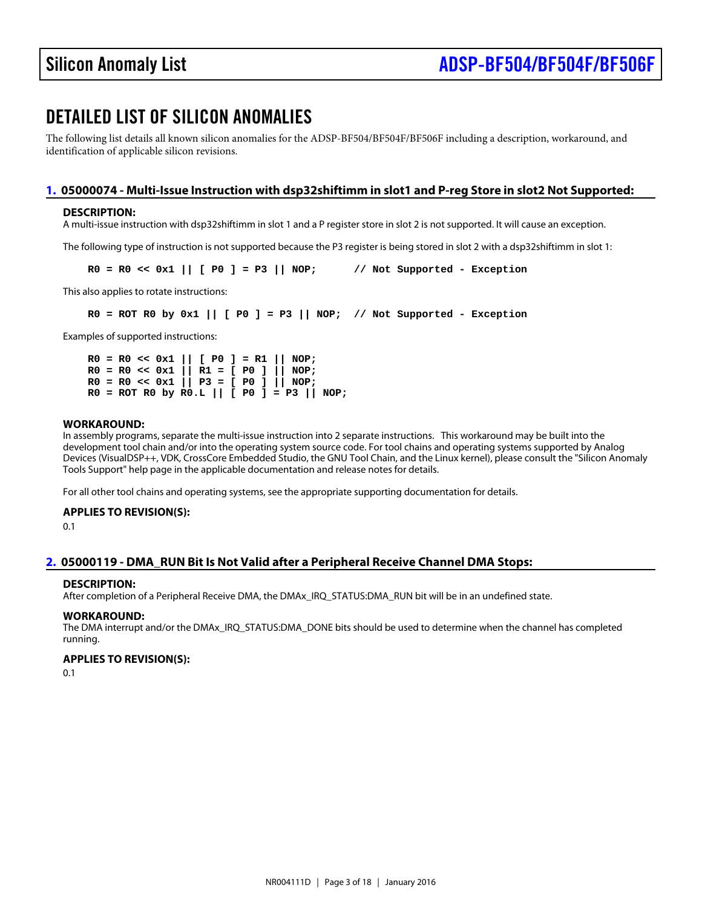## DETAILED LIST OF SILICON ANOMALIES

The following list details all known silicon anomalies for the ADSP-BF504/BF504F/BF506F including a description, workaround, and identification of applicable silicon revisions.

## <span id="page-2-0"></span>[1.](#page-1-0) 05000074 - Multi-Issue Instruction with dsp32shiftimm in slot1 and P-reg Store in slot2 Not Supported:

## DESCRIPTION:

A multi-issue instruction with dsp32shiftimm in slot 1 and a P register store in slot 2 is not supported. It will cause an exception.

The following type of instruction is not supported because the P3 register is being stored in slot 2 with a dsp32shiftimm in slot 1:

 $RO = RO \ll 0 \times 1 \parallel [PO] = P3 \parallel NOP; \quad // Not Supplement - Exception$ 

This also applies to rotate instructions:

 $R0 = ROT R0$  by 0x1 ||  $[ P0 ] = P3$  || NOP; // Not Supported - Exception

Examples of supported instructions:

 $R0 = R0 \ll 0 \times 1 \parallel [P0] = R1 \parallel NOP;$  R0 = R0 << 0x1 || R1 = [ P0 ] || NOP;  $R0 = R0 \ll 0 \times 1$  || P3 = [ P0 ] || NOP;  $R0 = ROT R0$  by  $R0.L || [P0] = P3 || NOP;$ 

#### WORKAROUND:

In assembly programs, separate the multi-issue instruction into 2 separate instructions. This workaround may be built into the development tool chain and/or into the operating system source code. For tool chains and operating systems supported by Analog Devices (VisualDSP++, VDK, CrossCore Embedded Studio, the GNU Tool Chain, and the Linux kernel), please consult the "Silicon Anomaly Tools Support" help page in the applicable documentation and release notes for details.

For all other tool chains and operating systems, see the appropriate supporting documentation for details.

APPLIES TO REVISION(S): 0.1

## <span id="page-2-1"></span>[2.](#page-1-1) 05000119 -DMA\_RUN Bit Is Not Valid after a Peripheral Receive Channel DMA Stops:

## DESCRIPTION:

After completion of a Peripheral Receive DMA, the DMAx\_IRQ\_STATUS:DMA\_RUN bit will be in an undefined state.

WORKAROUND:

The DMA interrupt and/or the DMAx\_IRQ\_STATUS:DMA\_DONE bits should be used to determine when the channel has completed running.

APPLIES TO REVISION(S):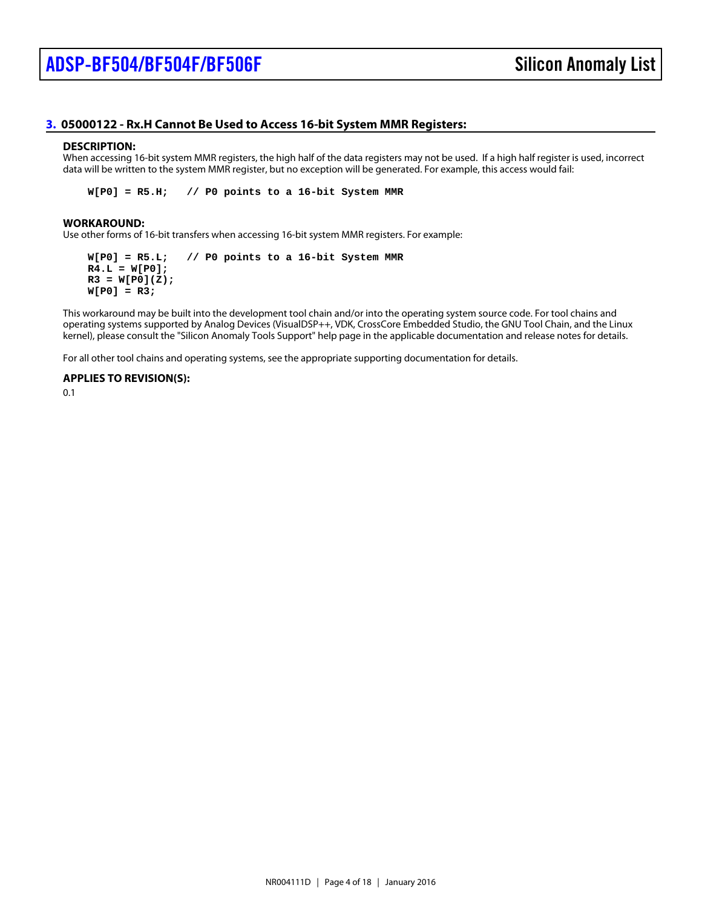## <span id="page-3-0"></span>[3.](#page-1-2) 05000122 - Rx. H Cannot Be Used to Access 16-bit System MMR Registers:

#### DESCRIPTION:

When accessing 16-bit system MMR registers, the high half of the data registers may not be used. If a high half register is used, incorrect data will be written to the system MMR register, but no exception will be generated. For example, this access would fail:

W[P0] = R5.H; // P0 points to a 16-bit System MMR

#### WORKAROUND:

Use other forms of 16-bit transfers when accessing 16-bit system MMR registers. For example:

W[P0] = R5.L; // P0 points to a 16-bit System MMR  $R4.L = W[PO];$  $R3 = W[P0](Z)$ ;  $W[PO] = R3;$ 

This workaround may be built into the development tool chain and/or into the operating system source code. For tool chains and operating systems supported by Analog Devices (VisualDSP++, VDK, CrossCore Embedded Studio, the GNU Tool Chain, and the Linux kernel), please consult the "Silicon Anomaly Tools Support" help page in the applicable documentation and release notes for details.

For all other tool chains and operating systems, see the appropriate supporting documentation for details.

APPLIES TO REVISION(S):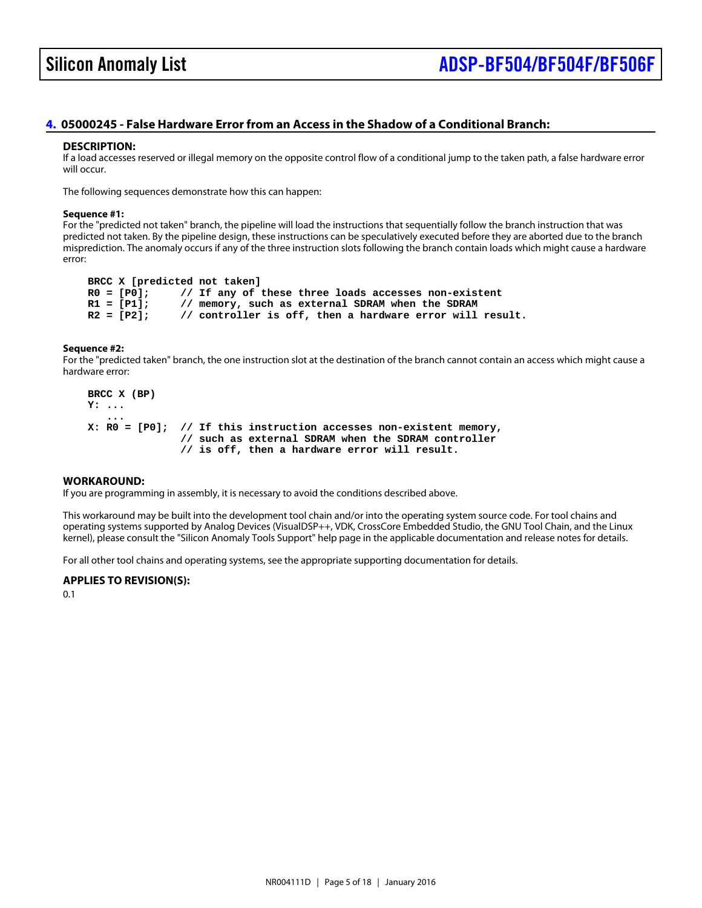## Silicon Anomaly List

## <span id="page-4-0"></span>[4.](#page-1-3) 05000245 - False Hardware Error from an Access in the Shadow of a Conditional Branch:

#### DESCRIPTION:

If a load accesses reserved or illegal memory on the opposite control flow of a conditional jump to the taken path, a false hardware error will occur.

The following sequences demonstrate how this can happen:

#### Sequence #1:

For the "predicted not taken" branch, the pipeline will load the instructions that sequentially follow the branch instruction that was predicted not taken. By the pipeline design, these instructions can be speculatively executed before they are aborted due to the branch misprediction. The anomaly occurs if any of the three instruction slots following the branch contain loads which might cause a hardware error:

BRCC X [predicted not taken]<br> $R0 = [P0]:$  // If any of these

R0 = [P0]; // If any of these three loads accesses non-existent<br>R1 = [P1]; // memory, such as external SDRAM when the SDR

 $\frac{1}{2}$  memory, such as external SDRAM when the SDRAM

 $R2 = [P2]$ ; // controller is off, then a hardware error will result.

Sequence #2:

For the "predicted taken" branch, the one instruction slot at the destination of the branch cannot contain an access which might cause a hardware error:

 BRCC X (BP) Y: ...

...

X: R0 = [P0]; // If this instruction accesses non-existent memory,

 // such as external SDRAM when the SDRAM controller // is off, then a hardware error will result.

## WORKAROUND:

If you are programming in assembly, it is necessary to avoid the conditions described above.

This workaround may be built into the development tool chain and/or into the operating system source code. For tool chains and operating systems supported by Analog Devices (VisualDSP++, VDK, CrossCore Embedded Studio, the GNU Tool Chain, and the Linux kernel), please consult the "Silicon Anomaly Tools Support" help page in the applicable documentation and release notes for details.

For all other tool chains and operating systems, see the appropriate supporting documentation for details.

APPLIES TO REVISION(S):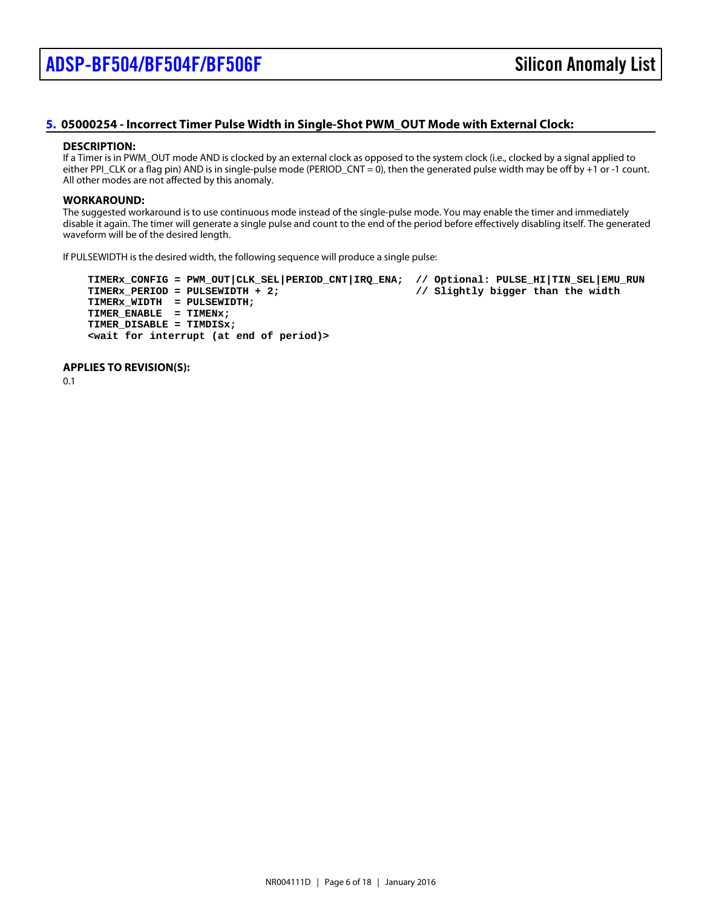## <span id="page-5-0"></span>[5.](#page-1-4) 05000254 - Incorrect Timer Pulse Width in Single-Shot PWM\_OUT Mode with External Clock:

#### DESCRIPTION:

If a Timer is in PWM\_OUT mode AND is clocked by an external clock as opposed to the system clock (i.e., clocked by a signal applied to either PPI\_CLK or a flag pin) AND is in single-pulse mode (PERIOD\_CNT = 0), then the generated pulse width may be off by +1 or -1 count. All other modes are not affected by this anomaly.

#### WORKAROUND:

The suggested workaround is to use continuous mode instead of the single-pulse mode. You may enable the timer and immediately disable it again. The timer will generate a single pulse and count to the end of the period before effectively disabling itself. The generated waveform will be of the desired length.

If PULSEWIDTH is the desired width, the following sequence will produce a single pulse:

TIMERx\_CONFIG = PWM\_OUT|CLK\_SEL|PERIOD\_CNT|IRQ\_ENA; // Optional: PULSE\_HI|TIN\_SEL|EMU\_RUN<br>TIMERx\_PERIOD = PULSEWIDTH + 2; // Slightly bigger than the width TIMERx\_PERIOD = PULSEWIDTH + 2; TIMERx\_WIDTH = PULSEWIDTH; TIMER\_ENABLE = TIMENx; TIMER\_DISABLE = TIMDISx; <wait for interrupt (at end of period)>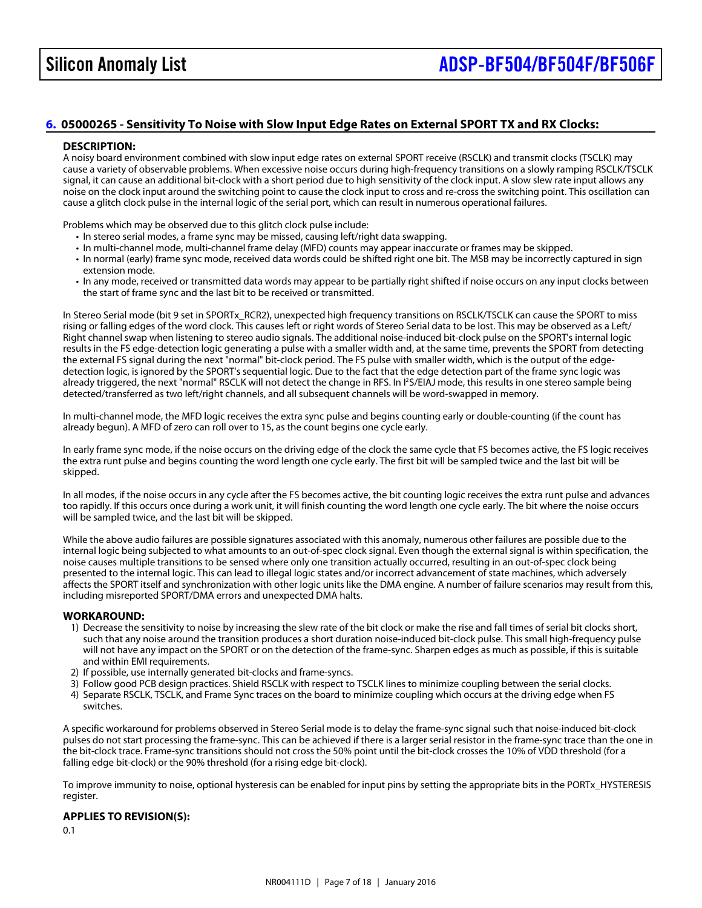## <span id="page-6-0"></span>[6.](#page-1-5) 05000265 - Sensitivity To Noise with Slow Input Edge Rates on External SPORT TX and RX Clocks:

## DESCRIPTION:

A noisy board environment combined with slow input edge rates on external SPORT receive (RSCLK) and transmit clocks (TSCLK) may cause a variety of observable problems. When excessive noise occurs during high-frequency transitions on a slowly ramping RSCLK/TSCLK signal, it can cause an additional bit-clock with a short period due to high sensitivity of the clock input. A slow slew rate input allows any noise on the clock input around the switching point to cause the clock input to cross and re-cross the switching point. This oscillation can cause a glitch clock pulse in the internal logic of the serial port, which can result in numerous operational failures.

Problems which may be observed due to this glitch clock pulse include:

- In stereo serial modes, a frame sync may be missed, causing left/right data swapping.
- In multi-channel mode, multi-channel frame delay (MFD) counts may appear inaccurate or frames may be skipped.
- In normal (early) frame sync mode, received data words could be shifted right one bit. The MSB may be incorrectly captured in sign extension mode.
- In any mode, received or transmitted data words may appear to be partially right shifted if noise occurs on any input clocks between the start of frame sync and the last bit to be received or transmitted.

In Stereo Serial mode (bit 9 set in SPORTx\_RCR2), unexpected high frequency transitions on RSCLK/TSCLK can cause the SPORT to mis rising or falling edges of the word clock. This causes left or right words of Stereo Serial data to be lost. This may be observed as a Left/ Right channel swap when listening to stereo audio signals. The additional noise-induced bit-clock pulse on the SPORT's internal logic results in the FS edge-detection logic generating a pulse with a smaller width and, at the same time, prevents the SPORT from detecting the external FS signal during the next "normal" bit-clock period. The FS pulse with smaller width, which is the output of the edgedetection logic, is ignored by the SPORT's sequential logic. Due to the fact that the edge detection part of the frame sync logic was already triggered, the next "normal" RSCLK will not detect the change in RPS/EtMJ mode, this results in one stereo sample being detected/transferred as two left/right channels, and all subsequent channels will be word-swapped in memory.

In multi-channel mode, the MFD logic receives the extra sync pulse and begins counting early or double-counting (if the count has already begun). A MFD of zero can roll over to 15, as the count begins one cycle early.

In early frame sync mode, if the noise occurs on the driving edge of the clock the same cycle that FS becomes active, the FS logic receives the extra runt pulse and begins counting the word length one cycle early. The first bit will be sampled twice and the last bit will be skipped.

In all modes, if the noise occurs in any cycle after the FS becomes active, the bit counting logic receives the extra runt pulse and advances too rapidly. If this occurs once during a work unit, it will finish counting the word length one cycle early. The bit where the noise occurs will be sampled twice, and the last bit will be skipped.

While the above audio failures are possible signatures associated with this anomaly, numerous other failures are possible due to the internal logic being subjected to what amounts to an out-of-spec clock signal. Even though the external signal is within specification, the noise causes multiple transitions to be sensed where only one transition actually occurred, resulting in an out-of-spec clock being presented to the internal logic. This can lead to illegal logic states and/or incorrect advancement of state machines, which adversely affects the SPORT itself and synchronization with other logic units like the DMA engine. A number of failure scenarios may result from this, including misreported SPORT/DMA errors and unexpected DMA halts.

#### WORKAROUND:

- 1) Decrease the sensitivity to noise by increasing the slew rate of the bit clock or make the rise and fall times of serial bit clocks short, such that any noise around the transition produces a short duration noise-induced bit-clock pulse. This small high-frequency pulse will not have any impact on the SPORT or on the detection of the frame-sync. Sharpen edges as much as possible, if this is suitable and within EMI requirements.
- 2) If possible, use internally generated bit-clocks and frame-syncs.
- 3) Follow good PCB design practices. Shield RSCLK with respect to TSCLK lines to minimize coupling between the serial clocks.
- 4) Separate RSCLK, TSCLK, and Frame Sync traces on the board to minimize coupling which occurs at the driving edge when FS switches.

A specific workaround for problems observed in Stereo Serial mode is to delay the frame-sync signal such that noise-induced bit-clock pulses do not start processing the frame-sync. This can be achieved if there is a larger serial resistor in the frame-sync trace than the one in the bit-clock trace. Frame-sync transitions should not cross the 50% point until the bit-clock crosses the 10% of VDD threshold (for a falling edge bit-clock) or the 90% threshold (for a rising edge bit-clock).

To improve immunity to noise, optional hysteresis can be enabled for input pins by setting the appropriate bits in the PORTx\_HYSTERESIS register.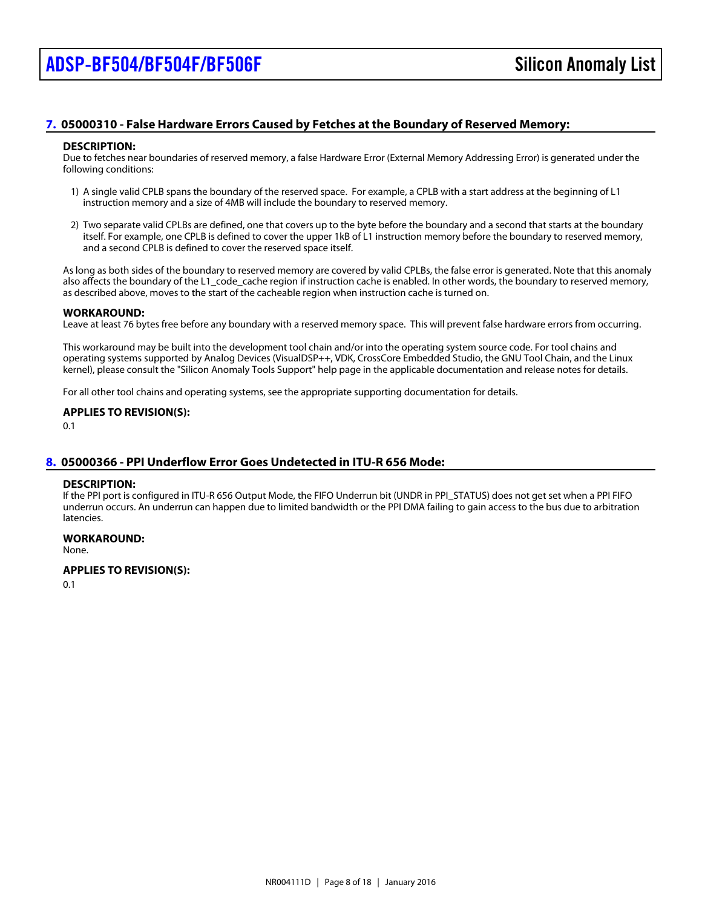## <span id="page-7-0"></span>[7.](#page-1-6) 05000310 - False Hardware Errors Caused by Fetches at the Boundary of Reserved Memory:

#### DESCRIPTION:

Due to fetches near boundaries of reserved memory, a false Hardware Error (External Memory Addressing Error) is generated under the following conditions:

- 1) A single valid CPLB spans the boundary of the reserved space. For example, a CPLB with a start address at the beginning of L1 instruction memory and a size of 4MB will include the boundary to reserved memory.
- 2) Two separate valid CPLBs are defined, one that covers up to the byte before the boundary and a second that starts at the boundary itself. For example, one CPLB is defined to cover the upper 1kB of L1 instruction memory before the boundary to reserved memory, and a second CPLB is defined to cover the reserved space itself.

As long as both sides of the boundary to reserved memory are covered by valid CPLBs, the false error is generated. Note that this anomaly also affects the boundary of the L1 code cache region if instruction cache is enabled. In other words, the boundary to reserved memory, as described above, moves to the start of the cacheable region when instruction cache is turned on.

#### WORKAROUND:

Leave at least 76 bytes free before any boundary with a reserved memory space. This will prevent false hardware errors from occurring.

This workaround may be built into the development tool chain and/or into the operating system source code. For tool chains and operating systems supported by Analog Devices (VisualDSP++, VDK, CrossCore Embedded Studio, the GNU Tool Chain, and the Linux kernel), please consult the "Silicon Anomaly Tools Support" help page in the applicable documentation and release notes for details.

For all other tool chains and operating systems, see the appropriate supporting documentation for details.

## APPLIES TO REVISION(S):

0.1

## <span id="page-7-1"></span>[8.](#page-1-7) 05000366 - PPI Underflow Error Goes Undetected in ITU-R 656 Mode:

## DESCRIPTION:

If the PPI port is configured in ITU-R 656 Output Mode, the FIFO Underrun bit (UNDR in PPI\_STATUS) does not get set when a PPI FIFO underrun occurs. An underrun can happen due to limited bandwidth or the PPI DMA failing to gain access to the bus due to arbitration latencies.

WORKAROUND: None.

APPLIES TO REVISION(S):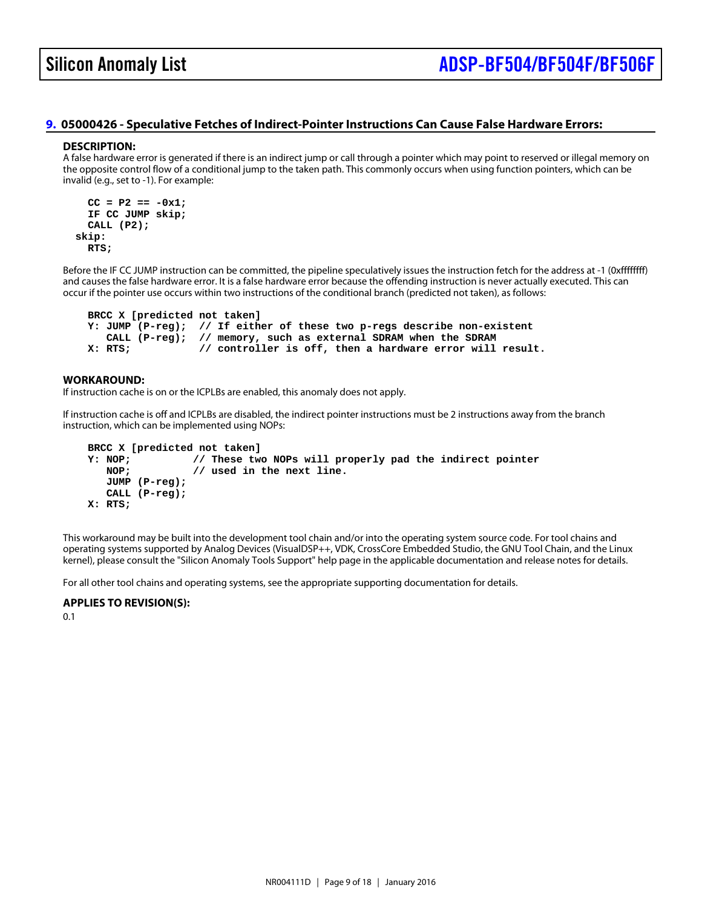## <span id="page-8-0"></span>[9.](#page-1-8) 05000426 - Speculative Fetches of Indirect-Pointer Instructions Can Cause False Hardware Errors:

#### DESCRIPTION:

A false hardware error is generated if there is an indirect jump or call through a pointer which may point to reserved or illegal memory on the opposite control flow of a conditional jump to the taken path. This commonly occurs when using function pointers, which can be invalid (e.g., set to -1). For example:

 $CC = P2 == -0x1;$  IF CC JUMP skip; CALL (P2); skip: RTS;

Before the IF CC JUMP instruction can be committed, the pipeline speculatively issues the instruction fetch for the address at -1 (0xffffffff) and causes the false hardware error. It is a false hardware error because the offending instruction is never actually executed. This can occur if the pointer use occurs within two instructions of the conditional branch (predicted not taken), as follows:

BRCC X [predicted not taken]

Y: JUMP (P-reg); // If either of these two p-regs describe non-existent

CALL (P-reg); // memory, such as external SDRAM when the SDRAM

X: RTS; // controller is off, then a hardware error will result.

WORKAROUND:

If instruction cache is on or the ICPLBs are enabled, this anomaly does not apply.

If instruction cache is off and ICPLBs are disabled, the indirect pointer instructions must be 2 instructions away from the branch instruction, which can be implemented using NOPs:

 BRCC X [predicted not taken] Y: NOP;  $\frac{1}{2}$  // These two NOPs will properly pad the indirect pointer NOP:  $\frac{1}{2}$  // used in the next line.  $\mathcal N$  used in the next line. JUMP (P-reg); CALL (P-reg); X: RTS;

This workaround may be built into the development tool chain and/or into the operating system source code. For tool chains and operating systems supported by Analog Devices (VisualDSP++, VDK, CrossCore Embedded Studio, the GNU Tool Chain, and the Linux kernel), please consult the "Silicon Anomaly Tools Support" help page in the applicable documentation and release notes for details.

For all other tool chains and operating systems, see the appropriate supporting documentation for details.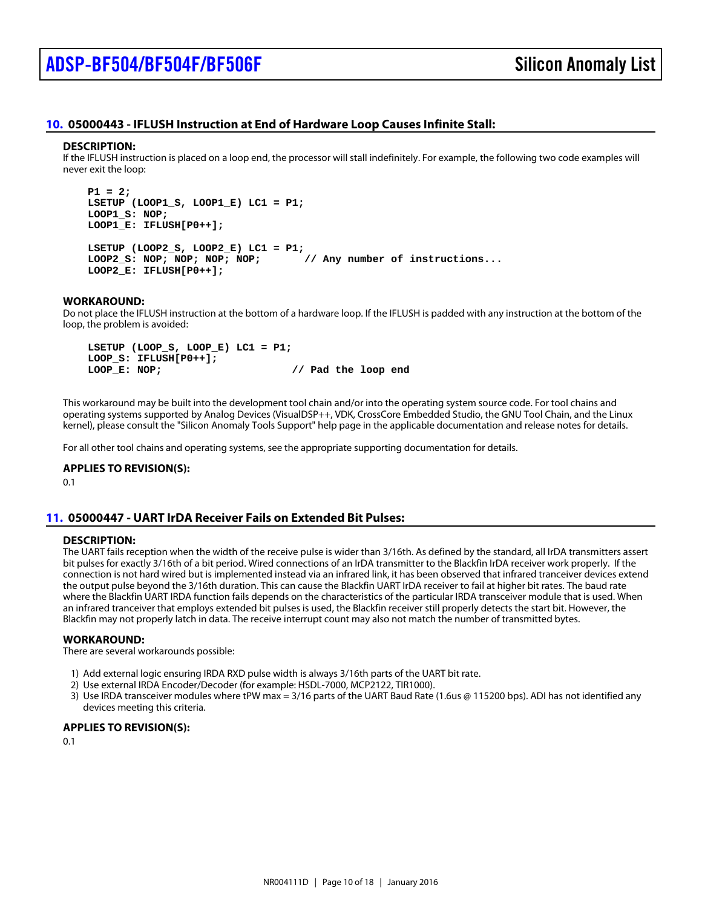## <span id="page-9-0"></span>[10.](#page-1-9) 05000443 - IFLUSH Instruction at End of Hardware Loop Causes Infinite Stall:

#### DESCRIPTION:

If the IFLUSH instruction is placed on a loop end, the processor will stall indefinitely. For example, the following two code examples will never exit the loop:

 $P1 = 2$ ; LSETUP (LOOP1\_S, LOOP1\_E) LC1 = P1; LOOP1\_S: NOP; LOOP1\_E: IFLUSH[P0++];

LSETUP (LOOP2\_S, LOOP2\_E) LC1 = P1; LOOP2\_S: NOP; NOP; NOP; NOP; // Any number of instructions... LOOP2\_E: IFLUSH[P0++];

## WORKAROUND:

Do not place the IFLUSH instruction at the bottom of a hardware loop. If the IFLUSH is padded with any instruction at the bottom of the loop, the problem is avoided:

 LSETUP (LOOP\_S, LOOP\_E) LC1 = P1; LOOP\_S: IFLUSH[P0++]; LOOP\_E: NOP; // Pad the loop end

This workaround may be built into the development tool chain and/or into the operating system source code. For tool chains and operating systems supported by Analog Devices (VisualDSP++, VDK, CrossCore Embedded Studio, the GNU Tool Chain, and the Linux kernel), please consult the "Silicon Anomaly Tools Support" help page in the applicable documentation and release notes for details.

For all other tool chains and operating systems, see the appropriate supporting documentation for details.

APPLIES TO REVISION(S): 0.1

## <span id="page-9-1"></span>[11.](#page-1-10) 05000447 - UART IrDA Receiver Fails on Extended Bit Pulses:

## DESCRIPTION:

The UART fails reception when the width of the receive pulse is wider than 3/16th. As defined by the standard, all IrDA transmitters assert bit pulses for exactly 3/16th of a bit period. Wired connections of an IrDA transmitter to the Blackfin IrDA receiver work properly. If the connection is not hard wired but is implemented instead via an infrared link, it has been observed that infrared tranceiver devices extend the output pulse beyond the 3/16th duration. This can cause the Blackfin UART IrDA receiver to fail at higher bit rates. The baud rate where the Blackfin UART IRDA function fails depends on the characteristics of the particular IRDA transceiver module that is used. When an infrared tranceiver that employs extended bit pulses is used, the Blackfin receiver still properly detects the start bit. However, the Blackfin may not properly latch in data. The receive interrupt count may also not match the number of transmitted bytes.

#### WORKAROUND:

There are several workarounds possible:

- 1) Add external logic ensuring IRDA RXD pulse width is always 3/16th parts of the UART bit rate.
- 2) Use external IRDA Encoder/Decoder (for example: HSDL-7000, MCP2122, TIR1000).
- 3) Use IRDA transceiver modules where tPW max = 3/16 parts of the UART Baud Rate (1.6us @ 115200 bps). ADI has not identified any devices meeting this criteria.

APPLIES TO REVISION(S):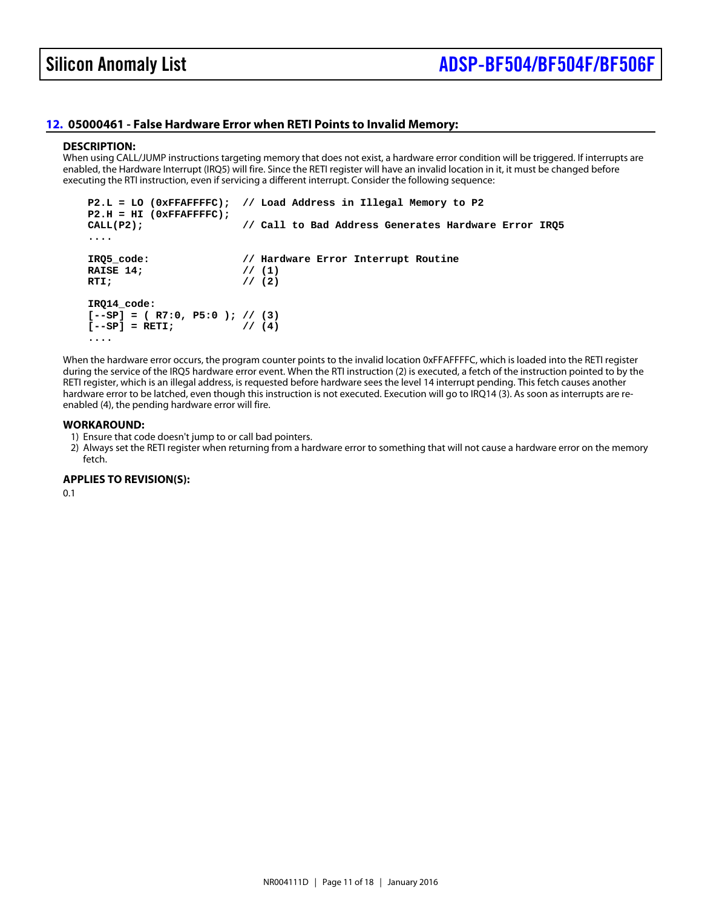## <span id="page-10-0"></span>[12.](#page-1-11) 05000461 - False Hardware Error when RETI Points to Invalid Memory:

#### DESCRIPTION:

When using CALL/JUMP instructions targeting memory that does not exist, a hardware error condition will be triggered. If interrupts are enabled, the Hardware Interrupt (IRQ5) will fire. Since the RETI register will have an invalid location in it, it must be changed before executing the RTI instruction, even if servicing a different interrupt. Consider the following sequence:

 P2.L = LO (0xFFAFFFFC); // Load Address in Illegal Memory to P2  $P2.H = HI (0xFFAFFFFFC);$ <br>CALL(P2); // Call // Call to Bad Address Generates Hardware Error IRQ5 ....

 IRQ5\_code: // Hardware Error Interrupt Routine RAISE 14; // (1) RTI;  $\frac{1}{2}$ IRQ14\_code:

 $[-SP] = (R7:0, P5:0); // (3)$  $[-SP] = RETI;$  // (4) ....

When the hardware error occurs, the program counter points to the invalid location 0xFFAFFFFC, which is loaded into the RETI register during the service of the IRQ5 hardware error event. When the RTI instruction (2) is executed, a fetch of the instruction pointed to by the RETI register, which is an illegal address, is requested before hardware sees the level 14 interrupt pending. This fetch causes another hardware error to be latched, even though this instruction is not executed. Execution will go to IRQ14 (3). As soon as interrupts are reenabled (4), the pending hardware error will fire.

#### WORKAROUND:

1) Ensure that code doesn't jump to or call bad pointers.

2) Always set the RETI register when returning from a hardware error to something that will not cause a hardware error on the memory fetch.

APPLIES TO REVISION(S):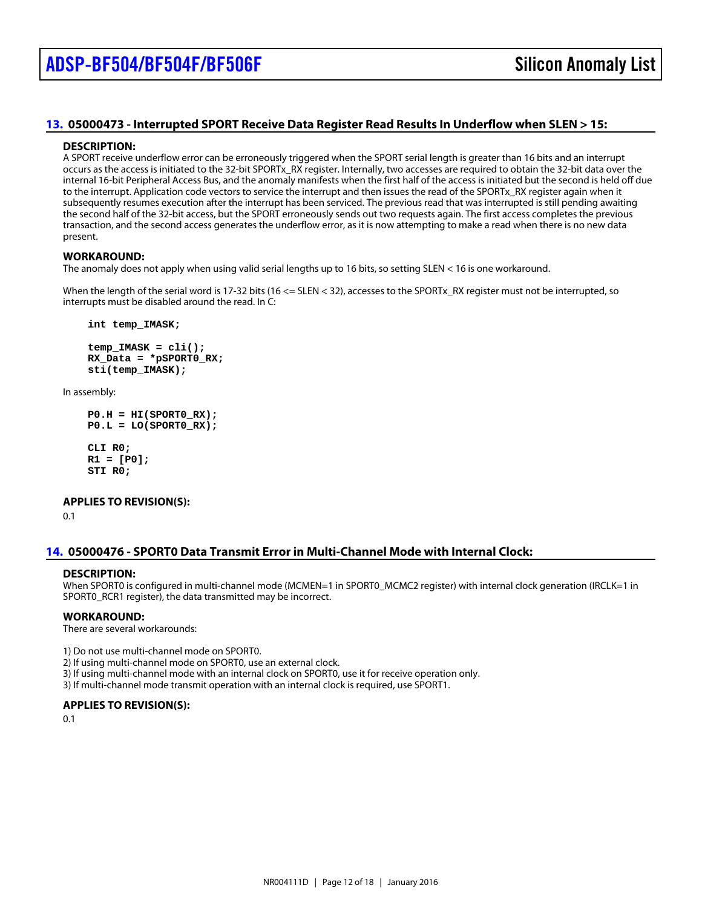## <span id="page-11-0"></span>[13.](#page-1-12) 05000473 - Interrupted SPORT Receive Data Register Read Results In Underflow when SLEN > 15:

#### DESCRIPTION:

A SPORT receive underflow error can be erroneously triggered when the SPORT serial length is greater than 16 bits and an interrupt occurs as the access is initiated to the 32-bit SPORTx\_RX register. Internally, two accesses are required to obtain the 32-bit data over the internal 16-bit Peripheral Access Bus, and the anomaly manifests when the first half of the access is initiated but the second is held off due to the interrupt. Application code vectors to service the interrupt and then issues the read of the SPORTx\_RX register again when it subsequently resumes execution after the interrupt has been serviced. The previous read that was interrupted is still pending awaiting the second half of the 32-bit access, but the SPORT erroneously sends out two requests again. The first access completes the previous transaction, and the second access generates the underflow error, as it is now attempting to make a read when there is no new data present.

#### WORKAROUND:

The anomaly does not apply when using valid serial lengths up to 16 bits, so setting SLEN < 16 is one workaround.

When the length of the serial word is 17-32 bits (16  $\leq$  SLEN  $\leq$  32), accesses to the SPORTx\_RX register must not be interrupted, so interrupts must be disabled around the read. In C:

int temp\_IMASK;

 $temp_IMASK = cli()$ ; RX\_Data = \*pSPORT0\_RX; sti(temp\_IMASK);

In assembly:

```
PO.H = HI(SPORTO_RX);PO.L = LO(SPORT0-RX);
```
 CLI R0;  $R1 = [P0];$ STI R0;

APPLIES TO REVISION(S): 0.1

## <span id="page-11-1"></span>[14.](#page-1-13) 05000476 - SPORT0 Data Transmit Error in Multi-Channel Mode with Internal Clock:

#### DESCRIPTION:

When SPORT0 is configured in multi-channel mode (MCMEN=1 in SPORT0\_MCMC2 register) with internal clock generation (IRCLK=1 in SPORT0\_RCR1 register), the data transmitted may be incorrect.

WORKAROUND:

There are several workarounds:

1) Do not use multi-channel mode on SPORT0.

2) If using multi-channel mode on SPORT0, use an external clock.

3) If using multi-channel mode with an internal clock on SPORT0, use it for receive operation only.

3) If multi-channel mode transmit operation with an internal clock is required, use SPORT1.

APPLIES TO REVISION(S):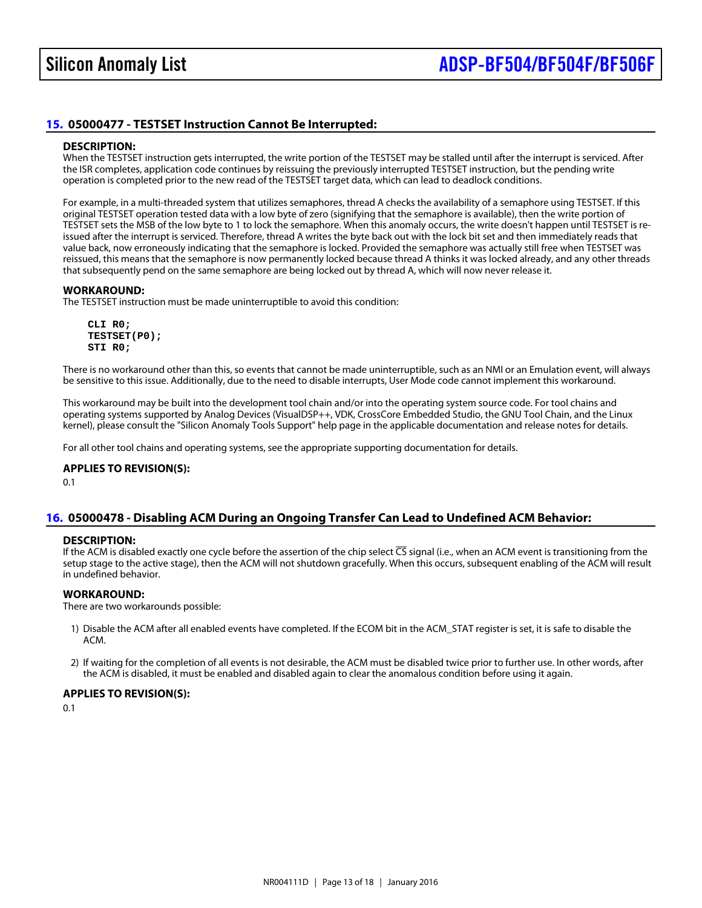## <span id="page-12-0"></span>[15.](#page-1-14) 05000477 - TESTSET Instruction Cannot Be Interrupted:

#### DESCRIPTION:

When the TESTSET instruction gets interrupted, the write portion of the TESTSET may be stalled until after the interrupt is serviced. After the ISR completes, application code continues by reissuing the previously interrupted TESTSET instruction, but the pending write operation is completed prior to the new read of the TESTSET target data, which can lead to deadlock conditions.

For example, in a multi-threaded system that utilizes semaphores, thread A checks the availability of a semaphore using TESTSET. If this original TESTSET operation tested data with a low byte of zero (signifying that the semaphore is available), then the write portion of TESTSET sets the MSB of the low byte to 1 to lock the semaphore. When this anomaly occurs, the write doesn't happen until TESTSET is reissued after the interrupt is serviced. Therefore, thread A writes the byte back out with the lock bit set and then immediately reads that value back, now erroneously indicating that the semaphore is locked. Provided the semaphore was actually still free when TESTSET was reissued, this means that the semaphore is now permanently locked because thread A thinks it was locked already, and any other threads that subsequently pend on the same semaphore are being locked out by thread A, which will now never release it.

#### WORKAROUND:

The TESTSET instruction must be made uninterruptible to avoid this condition:

 CLI R0; TESTSET(P0); STI R0;

There is no workaround other than this, so events that cannot be made uninterruptible, such as an NMI or an Emulation event, will always be sensitive to this issue. Additionally, due to the need to disable interrupts, User Mode code cannot implement this workaround.

This workaround may be built into the development tool chain and/or into the operating system source code. For tool chains and operating systems supported by Analog Devices (VisualDSP++, VDK, CrossCore Embedded Studio, the GNU Tool Chain, and the Linux kernel), please consult the "Silicon Anomaly Tools Support" help page in the applicable documentation and release notes for details.

For all other tool chains and operating systems, see the appropriate supporting documentation for details.

APPLIES TO REVISION(S): 0.1

## <span id="page-12-1"></span>[16.](#page-1-15) 05000478 - Disabling ACM During an Ongoing Transfer Can Lead to Undefined ACM Behavior:

## DESCRIPTION:

If the ACM is disabled exactly one cycle before the assertion of the chip selestional (i.e., when an ACM event is transitioning from the setup stage to the active stage), then the ACM will not shutdown gracefully. When this occurs, subsequent enabling of the ACM will result in undefined behavior.

## WORKAROUND:

There are two workarounds possible:

- 1) Disable the ACM after all enabled events have completed. If the ECOM bit in the ACM\_STAT register is set, it is safe to disable the ACM.
- 2) If waiting for the completion of all events is not desirable, the ACM must be disabled twice prior to further use. In other words, after the ACM is disabled, it must be enabled and disabled again to clear the anomalous condition before using it again.

## APPLIES TO REVISION(S):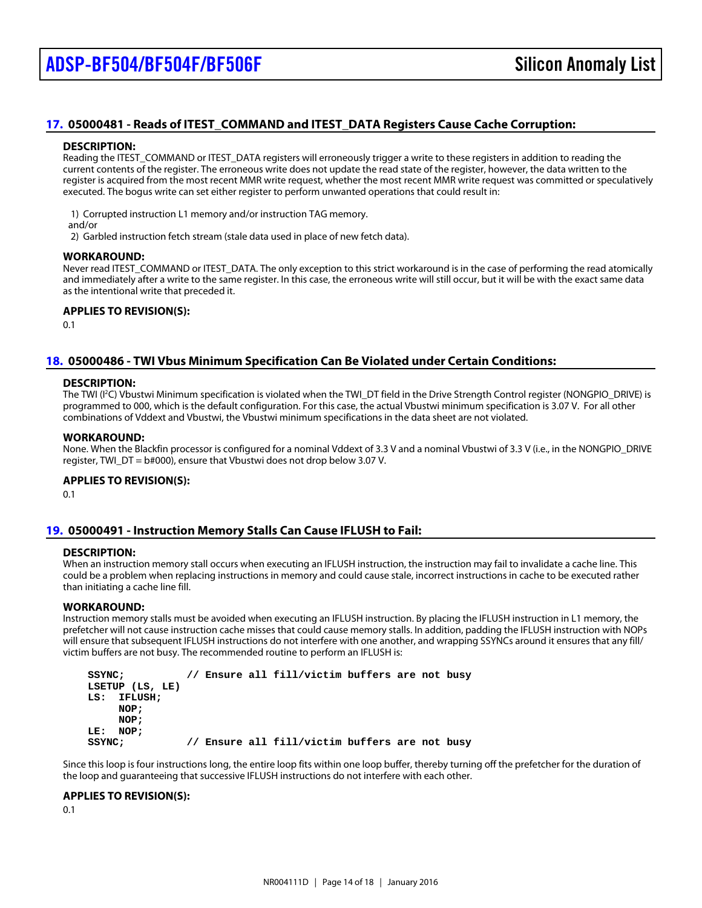## <span id="page-13-0"></span>[17.](#page-1-16) 05000481 - Reads of ITEST\_COMMAND and ITEST\_DATA Registers Cause Cache Corruption:

#### DESCRIPTION:

Reading the ITEST\_COMMAND or ITEST\_DATA registers will erroneously trigger a write to these registers in addition to reading the current contents of the register. The erroneous write does not update the read state of the register, however, the data written to the register is acquired from the most recent MMR write request, whether the most recent MMR write request was committed or speculatively executed. The bogus write can set either register to perform unwanted operations that could result in:

1) Corrupted instruction L1 memory and/or instruction TAG memory.

and/or

2) Garbled instruction fetch stream (stale data used in place of new fetch data).

#### WORKAROUND:

Never read ITEST\_COMMAND or ITEST\_DATA. The only exception to this strict workaround is in the case of performing the read atomically and immediately after a write to the same register. In this case, the erroneous write will still occur, but it will be with the exact same data as the intentional write that preceded it.

APPLIES TO REVISION(S): 0.1

## <span id="page-13-1"></span>[18.](#page-1-17) 05000486 - TWI Vbus Minimum Specification Can Be Violated under Certain Conditions:

#### DESCRIPTION:

The TWI (C) Vbustwi Minimum specification is violated when the TWI\_DT field in the Drive Strength Control register (NONGPIO\_DRIVE) is programmed to 000, which is the default configuration. For this case, the actual Vbustwi minimum specification is 3.07 V. For all other combinations of Vddext and Vbustwi, the Vbustwi minimum specifications in the data sheet are not violated.

#### WORKAROUND:

None. When the Blackfin processor is configured for a nominal Vddext of 3.3 V and a nominal Vbustwi of 3.3 V (i.e., in the NONGPIO DRIV register, TWI\_DT = b#000), ensure that Vbustwi does not drop below 3.07 V.

APPLIES TO REVISION(S): 0.1

## <span id="page-13-2"></span>[19.](#page-1-18) 05000491 - Instruction Memory Stalls Can Cause IFLUSH to Fail:

#### DESCRIPTION:

When an instruction memory stall occurs when executing an IFLUSH instruction, the instruction may fail to invalidate a cache line. This could be a problem when replacing instructions in memory and could cause stale, incorrect instructions in cache to be executed rather than initiating a cache line fill.

#### WORKAROUND:

Instruction memory stalls must be avoided when executing an IFLUSH instruction. By placing the IFLUSH instruction in L1 memory, the prefetcher will not cause instruction cache misses that could cause memory stalls. In addition, padding the IFLUSH instruction with NOPs will ensure that subsequent IFLUSH instructions do not interfere with one another, and wrapping SSYNCs around it ensures that any fill/ victim buffers are not busy. The recommended routine to perform an IFLUSH is:

SSYNC; // Ensure all fill/victim buffers are not busy LSETUP (LS, LE) LS: IFLUSH; NOP; NOP; LE: NOP; SSYNC; // Ensure all fill/victim buffers are not busy

Since this loop is four instructions long, the entire loop fits within one loop buffer, thereby turning off the prefetcher for the duration of the loop and guaranteeing that successive IFLUSH instructions do not interfere with each other.

APPLIES TO REVISION(S):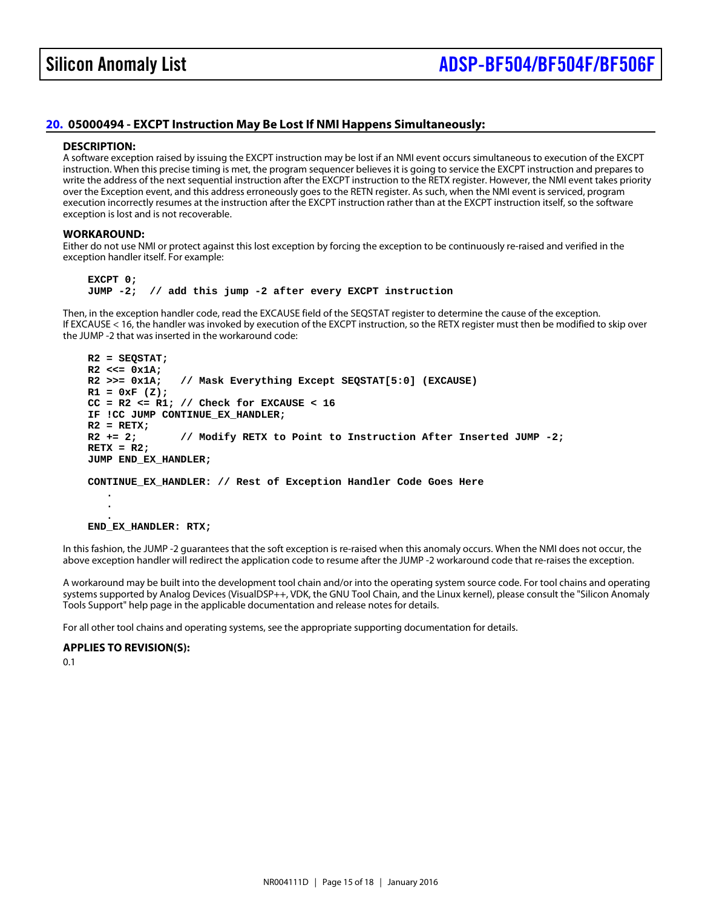## <span id="page-14-0"></span>[20.](#page-1-19) 05000494 - EXCPT Instruction May Be Lost If NMI Happens Simultaneously:

#### DESCRIPTION:

A software exception raised by issuing the EXCPT instruction may be lost if an NMI event occurs simultaneous to execution of the EXCPT instruction. When this precise timing is met, the program sequencer believes it is going to service the EXCPT instruction and prepares to write the address of the next sequential instruction after the EXCPT instruction to the RETX register. However, the NMI event takes priority over the Exception event, and this address erroneously goes to the RETN register. As such, when the NMI event is serviced, program execution incorrectly resumes at the instruction after the EXCPT instruction rather than at the EXCPT instruction itself, so the software exception is lost and is not recoverable.

#### WORKAROUND:

Either do not use NMI or protect against this lost exception by forcing the exception to be continuously re-raised and verified in the exception handler itself. For example:

EXCPT 0;

 . .

JUMP -2; // add this jump -2 after every EXCPT instruction

Then, in the exception handler code, read the EXCAUSE field of the SEQSTAT register to determine the cause of the exception. If EXCAUSE < 16, the handler was invoked by execution of the EXCPT instruction, so the RETX register must then be modified to skip over the JUMP -2 that was inserted in the workaround code:

 R2 = SEQSTAT;  $R2 \leq 0x1A$ : R2 >>= 0x1A; // Mask Everything Except SEQSTAT[5:0] (EXCAUSE)  $R1 = 0xF(Z);$  $CC = R2 \le R1$ ; // Check for EXCAUSE < 16 IF !CC JUMP CONTINUE\_EX\_HANDLER;  $R2 = RETX;$  $R2 += 2$ ; // Modify RETX to Point to Instruction After Inserted JUMP -2;  $RETX = R2$ ; JUMP END\_EX\_HANDLER;

CONTINUE\_EX\_HANDLER: // Rest of Exception Handler Code Goes Here

 . END\_EX\_HANDLER: RTX;

In this fashion, the JUMP -2 guarantees that the soft exception is re-raised when this anomaly occurs. When the NMI does not occur, the above exception handler will redirect the application code to resume after the JUMP -2 workaround code that re-raises the exception.

A workaround may be built into the development tool chain and/or into the operating system source code. For tool chains and operating systems supported by Analog Devices (VisualDSP++, VDK, the GNU Tool Chain, and the Linux kernel), please consult the "Silicon Anomaly Tools Support" help page in the applicable documentation and release notes for details.

For all other tool chains and operating systems, see the appropriate supporting documentation for details.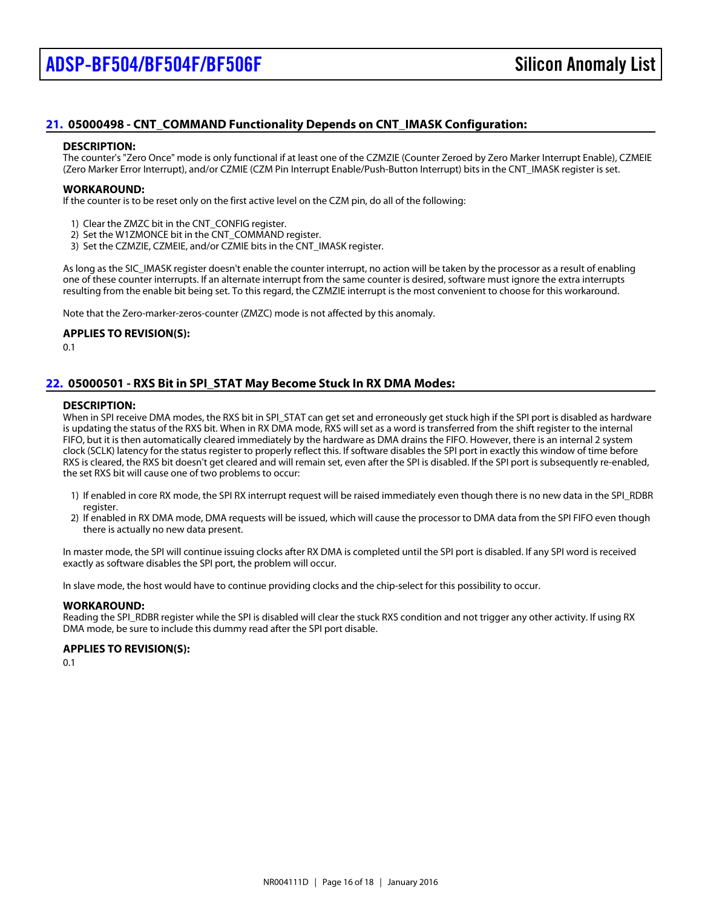## <span id="page-15-0"></span>[21.](#page-1-20) 05000498 - CNT\_COMMAND Functionality Depends on CNT\_IMASK Configuration:

#### DESCRIPTION:

The counter's "Zero Once" mode is only functional if at least one of the CZMZIE (Counter Zeroed by Zero Marker Interrupt Enable), CZMEIE (Zero Marker Error Interrupt), and/or CZMIE (CZM Pin Interrupt Enable/Push-Button Interrupt) bits in the CNT\_IMASK register is set.

#### WORKAROUND:

If the counter is to be reset only on the first active level on the CZM pin, do all of the following:

- 1) Clear the ZMZC bit in the CNT\_CONFIG register.
- 2) Set the W1ZMONCE bit in the CNT\_COMMAND register.
- 3) Set the CZMZIE, CZMEIE, and/or CZMIE bits in the CNT\_IMASK register.

As long as the SIC\_IMASK register doesn't enable the counter interrupt, no action will be taken by the processor as a result of enabling one of these counter interrupts. If an alternate interrupt from the same counter is desired, software must ignore the extra interrupts resulting from the enable bit being set. To this regard, the CZMZIE interrupt is the most convenient to choose for this workaround.

Note that the Zero-marker-zeros-counter (ZMZC) mode is not affected by this anomaly.

APPLIES TO REVISION(S):

0.1

## <span id="page-15-1"></span>[22.](#page-1-21) 05000501 - RXS Bit in SPI\_STAT May Become Stuck In RX DMA Modes:

#### DESCRIPTION:

When in SPI receive DMA modes, the RXS bit in SPI\_STAT can get set and erroneously get stuck high if the SPI port is disabled as hardwa is updating the status of the RXS bit. When in RX DMA mode, RXS will set as a word is transferred from the shift register to the internal FIFO, but it is then automatically cleared immediately by the hardware as DMA drains the FIFO. However, there is an internal 2 system clock (SCLK) latency for the status register to properly reflect this. If software disables the SPI port in exactly this window of time before RXS is cleared, the RXS bit doesn't get cleared and will remain set, even after the SPI is disabled. If the SPI port is subsequently re-enabled, the set RXS bit will cause one of two problems to occur:

- 1) If enabled in core RX mode, the SPI RX interrupt request will be raised immediately even though there is no new data in the SPI\_RDBR register.
- 2) If enabled in RX DMA mode, DMA requests will be issued, which will cause the processor to DMA data from the SPI FIFO even though there is actually no new data present.

In master mode, the SPI will continue issuing clocks after RX DMA is completed until the SPI port is disabled. If any SPI word is received exactly as software disables the SPI port, the problem will occur.

In slave mode, the host would have to continue providing clocks and the chip-select for this possibility to occur.

#### WORKAROUND:

Reading the SPI\_RDBR register while the SPI is disabled will clear the stuck RXS condition and not trigger any other activity. If using RX DMA mode, be sure to include this dummy read after the SPI port disable.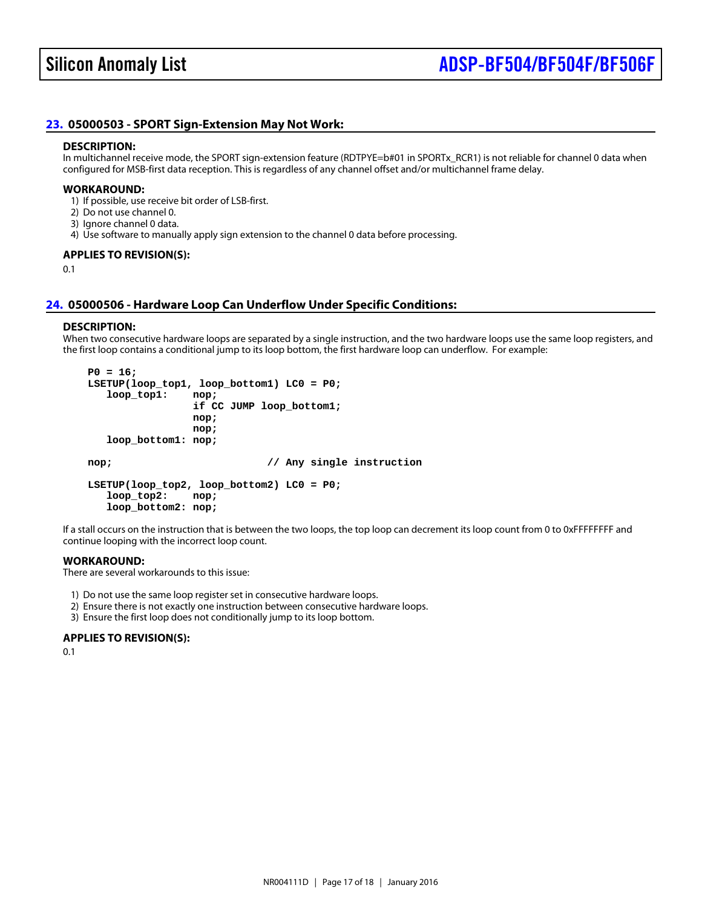## <span id="page-16-1"></span>[23.](#page-1-22) 05000503 - SPORT Sign-Extension May Not Work:

#### DESCRIPTION:

In multichannel receive mode, the SPORT sign-extension feature (RDTPYE=b#01 in SPORTx\_RCR1) is not reliable for channel 0 data when configured for MSB-first data reception. This is regardless of any channel offset and/or multichannel frame delay.

#### WORKAROUND:

1) If possible, use receive bit order of LSB-first.

- 2) Do not use channel 0.
- 3) Ignore channel 0 data.
- 4) Use software to manually apply sign extension to the channel 0 data before processing.

#### APPLIES TO REVISION(S):

0.1

#### <span id="page-16-0"></span>[24.](#page-1-23) 05000506 - Hardware Loop Can Underflow Under Specific Conditions:

#### DESCRIPTION:

When two consecutive hardware loops are separated by a single instruction, and the two hardware loops use the same loop registers, and the first loop contains a conditional jump to its loop bottom, the first hardware loop can underflow. For example:

 $P0 = 16$ ; LSETUP(loop\_top1, loop\_bottom1) LC0 = P0; loop\_top1: nop; if CC JUMP loop\_bottom1; nop; nop; loop\_bottom1: nop;

nop; // Any single instruction

 LSETUP(loop\_top2, loop\_bottom2) LC0 = P0; loop\_top2: nop; loop\_bottom2: nop;

If a stall occurs on the instruction that is between the two loops, the top loop can decrement its loop count from 0 to 0xFFFFFFFF and continue looping with the incorrect loop count.

#### WORKAROUND:

There are several workarounds to this issue:

- 1) Do not use the same loop register set in consecutive hardware loops.
- 2) Ensure there is not exactly one instruction between consecutive hardware loops.
- 3) Ensure the first loop does not conditionally jump to its loop bottom.

APPLIES TO REVISION(S):